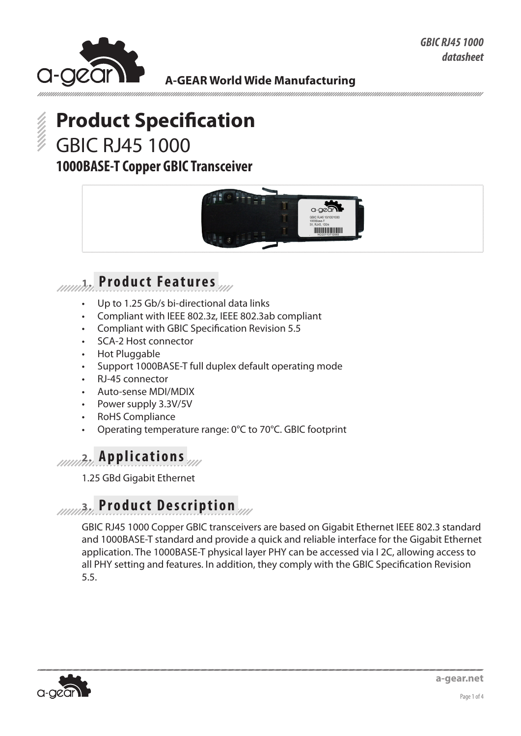

**A-GEAR World Wide Manufacturing**



# **Product Specification** GBIC RJ45 1000

## **1000BASE-T Copper GBIC Transceiver**



## **1. Product Features**

- Up to 1.25 Gb/s bi-directional data links
- Compliant with IEEE 802.3z, IEEE 802.3ab compliant
- Compliant with GBIC Specification Revision 5.5
- SCA-2 Host connector
- Hot Pluggable
- Support 1000BASE-T full duplex default operating mode
- RJ-45 connector
- Auto-sense MDI/MDIX
- Power supply 3.3V/5V
- RoHS Compliance
- Operating temperature range:  $0^{\circ}$ C to 70 $^{\circ}$ C. GBIC footprint

## **2. Applications**

1.25 GBd Gigabit Ethernet

## **3. Product Description**

GBIC RJ45 1000 Copper GBIC transceivers are based on Gigabit Ethernet IEEE 802.3 standard and 1000BASE-T standard and provide a quick and reliable interface for the Gigabit Ethernet application. The 1000BASE-T physical layer PHY can be accessed via I 2C, allowing access to all PHY setting and features. In addition, they comply with the GBIC Specification Revision 5.5.

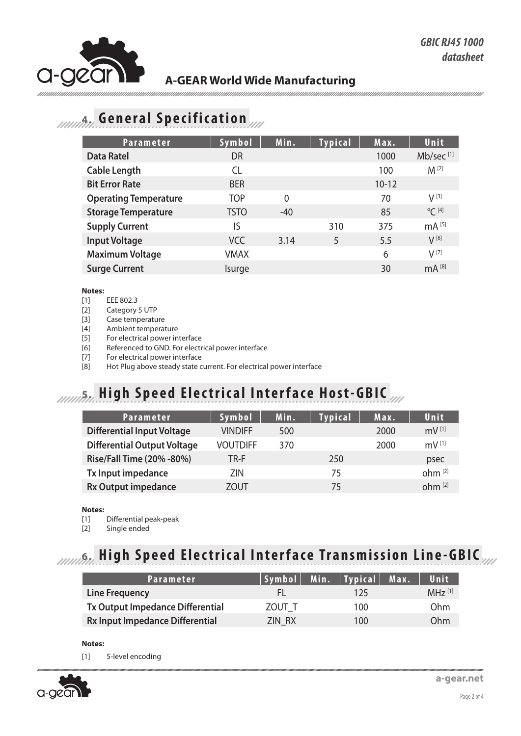

## **A-GEAR World Wide Manufacturing**

## **4. General Specification**

| <b>Parameter</b>             | Symbol      | Min.     | <b>Typical</b> | Max.      | Unit                  |
|------------------------------|-------------|----------|----------------|-----------|-----------------------|
| <b>Data Ratel</b>            | <b>DR</b>   |          |                | 1000      | Mb/sec <sup>[1]</sup> |
| <b>Cable Length</b>          | <b>CL</b>   |          |                | 100       | $M^{[2]}$             |
| <b>Bit Error Rate</b>        | <b>BER</b>  |          |                | $10 - 12$ |                       |
| <b>Operating Temperature</b> | <b>TOP</b>  | $\Omega$ |                | 70        | $V^{[3]}$             |
| <b>Storage Temperature</b>   | <b>TSTO</b> | $-40$    |                | 85        | $^{\circ}$ C [4]      |
| <b>Supply Current</b>        | IS          |          | 310            | 375       | $mA^{[5]}$            |
| <b>Input Voltage</b>         | <b>VCC</b>  | 3.14     | 5              | 5.5       | $V^{[6]}$             |
| <b>Maximum Voltage</b>       | <b>VMAX</b> |          |                | 6         | $V^{[7]}$             |
| <b>Surge Current</b>         | Isurge      |          |                | 30        | $mA^{[8]}$            |

### **Notes:**

- [1] EEE 802.3
- [2] Category 5 UTP
- [3] Case temperature
- [4] Ambient temperature
- [5] For electrical power interface
- [6] Referenced to GND. For electrical power interface
- [7] For electrical power interface
- [8] Hot Plug above steady state current. For electrical power interface

## **5. High Speed Electrical Interface Host-GBIC**

| <b>Parameter</b>                   | Symbol          | Min. | <b>Typical</b> | Max. | Unit                |
|------------------------------------|-----------------|------|----------------|------|---------------------|
|                                    |                 |      |                |      |                     |
| <b>Differential Input Voltage</b>  | <b>VINDIFF</b>  | 500  |                | 2000 | $mV$ <sup>[1]</sup> |
| <b>Differential Output Voltage</b> | <b>VOUTDIFF</b> | 370  |                | 2000 | $mV$ <sup>[1]</sup> |
| Rise/Fall Time (20% -80%)          | TR-F            |      | 250            |      | psec                |
| Tx Input impedance                 | 7IN             |      | 75             |      | ohm <sup>[2]</sup>  |
| <b>Rx Output impedance</b>         | ZOUT            |      | 75             |      | ohm <sup>[2]</sup>  |

### **Notes:**

- [1] Differential peak-peak
- [2] Single ended

# **6. High Speed Electrical Interface Transmission Line-GBIC**

| Parameter                              |        | Symbol  Min.   Typical  Max. | Unit                 |
|----------------------------------------|--------|------------------------------|----------------------|
| <b>Line Frequency</b>                  | H.     | 125                          | $MH7$ <sup>[1]</sup> |
| Tx Output Impedance Differential       | ZOUT T | 100                          | 0 <sub>hm</sub>      |
| <b>Rx Input Impedance Differential</b> | ZIN RX | 100                          | Ohm                  |

### **Notes:**

[1] 5-level encoding

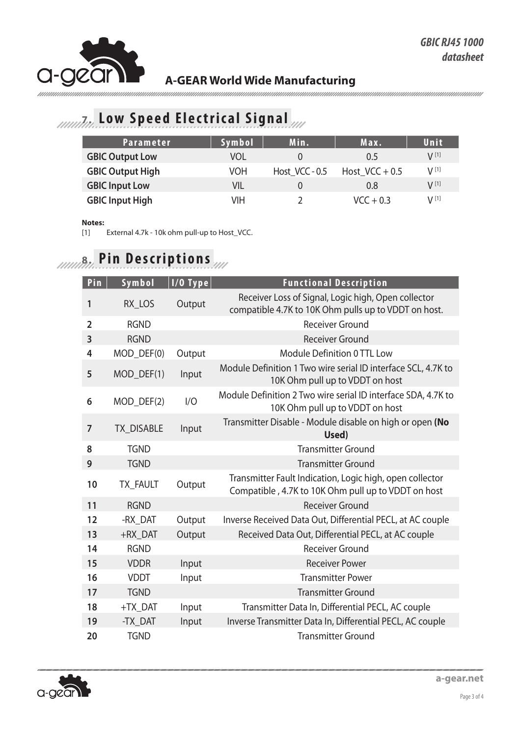

unnunnun

## **A-GEAR World Wide Manufacturing**

#### 

# *IMMA***<sup>***Investigate Chectrical Signal*</sup>

| <b>Parameter</b>        | Symbol | Min.           | Max.             | Unit      |
|-------------------------|--------|----------------|------------------|-----------|
| <b>GBIC Output Low</b>  | VOL    |                | 0.5              | $V^{[1]}$ |
| <b>GBIC Output High</b> | VOH    | Host VCC - 0.5 | Host $VCC + 0.5$ | $V^{[1]}$ |
| <b>GBIC Input Low</b>   | VIL    |                | 0.8              | $V^{[1]}$ |
| <b>GBIC Input High</b>  | VIH    |                | $VCC + 0.3$      | $V^{[1]}$ |

### **Notes:**

[1] External 4.7k - 10k ohm pull-up to Host\_VCC.

# **8. Pin Descriptions**

| $\overline{P}$ in | Symbol            | $1/0$ Type | <b>Functional Description</b>                                                                                   |
|-------------------|-------------------|------------|-----------------------------------------------------------------------------------------------------------------|
| 1                 | RX LOS            | Output     | Receiver Loss of Signal, Logic high, Open collector<br>compatible 4.7K to 10K Ohm pulls up to VDDT on host.     |
| $\overline{2}$    | <b>RGND</b>       |            | <b>Receiver Ground</b>                                                                                          |
| 3                 | <b>RGND</b>       |            | <b>Receiver Ground</b>                                                                                          |
| 4                 | MOD_DEF(0)        | Output     | <b>Module Definition 0 TTL Low</b>                                                                              |
| 5                 | MOD_DEF(1)        | Input      | Module Definition 1 Two wire serial ID interface SCL, 4.7K to<br>10K Ohm pull up to VDDT on host                |
| 6                 | MOD DEF(2)        | 1/O        | Module Definition 2 Two wire serial ID interface SDA, 4.7K to<br>10K Ohm pull up to VDDT on host                |
| 7                 | <b>TX DISABLE</b> | Input      | Transmitter Disable - Module disable on high or open (No<br>Used)                                               |
| 8                 | <b>TGND</b>       |            | <b>Transmitter Ground</b>                                                                                       |
| 9                 | <b>TGND</b>       |            | <b>Transmitter Ground</b>                                                                                       |
| 10                | TX_FAULT          | Output     | Transmitter Fault Indication, Logic high, open collector<br>Compatible, 4.7K to 10K Ohm pull up to VDDT on host |
| 11                | <b>RGND</b>       |            | <b>Receiver Ground</b>                                                                                          |
| 12                | -RX_DAT           | Output     | Inverse Received Data Out, Differential PECL, at AC couple                                                      |
| 13                | +RX DAT           | Output     | Received Data Out, Differential PECL, at AC couple                                                              |
| 14                | <b>RGND</b>       |            | <b>Receiver Ground</b>                                                                                          |
| 15                | <b>VDDR</b>       | Input      | <b>Receiver Power</b>                                                                                           |
| 16                | <b>VDDT</b>       | Input      | <b>Transmitter Power</b>                                                                                        |
| 17                | <b>TGND</b>       |            | <b>Transmitter Ground</b>                                                                                       |
| 18                | +TX_DAT           | Input      | Transmitter Data In, Differential PECL, AC couple                                                               |
| 19                | -TX_DAT           | Input      | Inverse Transmitter Data In, Differential PECL, AC couple                                                       |
| 20                | <b>TGND</b>       |            | <b>Transmitter Ground</b>                                                                                       |